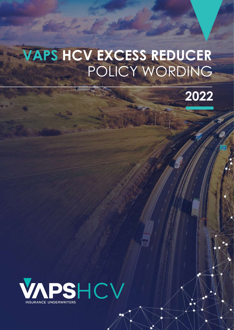# POLICY WORDING **VAPS HCV EXCESS REDUCER**



**VALUE AND STRUCK REDUCER** 

Policy Wording

 $\mathbb{C}$  VARIANCES REDUCER POLICY WORLDWIDE

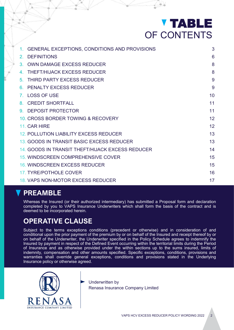# TABLE OF CONTENTS

| GENERAL EXCEPTIONS, CONDITIONS AND PROVISIONS<br>1 <sup>1</sup> | 3  |
|-----------------------------------------------------------------|----|
| <b>DEFINITIONS</b><br>$\mathcal{P}^-$                           | 6  |
| <b>OWN DAMAGE EXCESS REDUCER</b><br>3 <sub>1</sub>              | 8  |
| <b>THEFT/HIJACK EXCESS REDUCER</b><br>4                         | 8  |
| THIRD PARTY EXCESS REDUCER<br>5.                                | 9  |
| <b>PENALTY EXCESS REDUCER</b><br>6.                             | 9  |
| <b>LOSS OF USE</b><br>7 <sup>1</sup>                            | 10 |
| <b>CREDIT SHORTFALL</b><br>8.                                   | 11 |
| <b>DEPOSIT PROTECTOR</b><br>9                                   | 11 |
| 10. CROSS BORDER TOWING & RECOVERY                              | 12 |
| 11. CAR HIRE                                                    | 12 |
| 12. POLLUTION LIABILITY EXCESS REDUCER                          | 13 |
| 13. GOODS IN TRANSIT BASIC EXCESS REDUCER                       | 13 |
| 14. GOODS IN TRANSIT THEFT/HIJACK EXCESS REDUCER                | 14 |
| 15. WINDSCREEN COMPREHENSIVE COVER                              | 15 |
| 16. WINDSCREEN EXCESS REDUCER                                   | 15 |
| 17. TYRE/POTHOLE COVER                                          | 16 |
| 18. VAPS NON-MOTOR EXCESS REDUCER                               | 17 |

# **PREAMBLE**

Whereas the Insured (or their authorized intermediary) has submitted a Proposal form and declaration completed by you to VAPS Insurance Underwriters which shall form the basis of the contract and is deemed to be incorporated herein.

# **OPERATIVE CLAUSE**

Subject to the terms exceptions conditions (precedent or otherwise) and in consideration of and conditional upon the prior payment of the premium by or on behalf of the Insured and receipt thereof by or on behalf of the Underwriter, the Underwriter specified in the Policy Schedule agrees to indemnify the Insured by payment in respect of the Defined Event occurring within the territorial limits during the Period of Insurance and as otherwise provided under the within sections up to the sums insured, limits of indemnity, compensation and other amounts specified. Specific exceptions, conditions, provisions and warranties shall override general exceptions, conditions and provisions stated in the Underlying Insurance policy or otherwise agreed.



Underwritten by Renasa Insurance Company Limited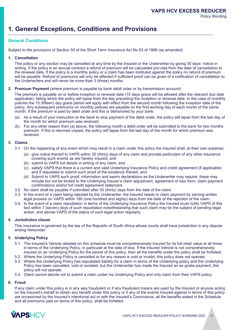Policy Wording

# **1. General Exceptions, Conditions and Provisions**

### **General Conditions**

Subject to the provisions of Section 55 of the Short Term Insurance Act No 53 of 1998 (as amended)

#### **1. Cancellation**

This policy or any section may be cancelled at any time by the Insured or the Underwriter by giving 30 days' notice in writing. If the policy is an annual contract a refund of premium will be calculated pro-rata from the date of cancellation to the renewal date. If the policy is a monthly policy or a claim has been instituted against the policy no refund of premium will be payable. Refund of premiums will only be affected if sufficient proof can be given of a notification of cancellation to the Underwriters and will never be more than 3 (three) months.

#### **2. Premium Payment** (where premium is payable by bank debit order or by transmission account)

The premium is payable on or before inception or renewal date (15 days grace will be allowed after the relevant due date applicable), failing which the policy will lapse from the day preceding the inception or renewal date. In the case of monthly policies the 15 (fifteen) day grace period will apply with effect from the second month following the inception date of the policy. Any subsequent premiums on monthly policies are payable on the first working day of each month of the same month. If the premium is paid by debit order and this is dishonored by your bank:

- As a result of your instruction to the bank to stop payment of the debit order, the policy will lapse from the last day of the month for which premium was received.
- For any other reason than (a) above, the following month a debit order will be submitted to the bank for two months premium. If this is returned unpaid, the policy will lapse from the last day of the month for which premium was received.

#### **3. Claims**

- 3.1. On the happening of any event which may result in a claim under this policy the Insured shall, at their own expense;
	- (a) give notice thereof to VAPS within 30 (thirty) days of any claim and provide particulars of any other insurance covering such events as are hereby insured, and
	- (b) submit to VAPS full details in writing of any claim, and
	- (c) satisfy VAPS that there is a current and valid Underlying Insurance Policy and credit agreement (if applicable) and if requested to submit such proof of the existence thereof, and
	- (d) Submit to VAPS such proof, information and sworn declarations as the Underwriter may require, these may include but not be limited to the Underlying Insurer's claim adjustment, agreement of loss form, claim payment confirmations and/or full credit agreement statement.
- 3.2. No claim shall be payable if submitted after 30 (thirty) days from the date of the claim.
- 3.3. In the event of a claim being rejected by the Underwriter, the Insured needs to claim payment by serving written legal process on VAPS within 180 (one hundred and eighty) days from the date of the rejection of the claim.
- 3.4. In the event of a claim repudiation in terms of the Underlying Insurance Policy the Insured must notify VAPS of this fact within 7 (seven) days of such repudiation notwithstanding that such claim may be the subject of pending legal action, and advise VAPS of the status of such legal action regularly.

#### **4. Jurisdiction clause**

This insurance is governed by the law of the Republic of South Africa whose courts shall have jurisdiction in any dispute arising hereunder.

#### **5. Underlying Policy**

- 5.1. The Insured's Vehicle detailed on this schedule must be comprehensively insured for its full retail value at all times in terms of the Underlying Policy, in particular at the date of loss. If the Insured Vehicle is not comprehensively insured on an Underlying Policy for the period of this policy, then all the benefits under the policy shall be forfeited.
- 5.2. Where the Underlying Policy is cancelled or for any reason is void or invalid, this policy does not operate.
- 5.3. Where the Underlying Policy has repudiated liability for a claim in terms of the Underlying policy and the Underlying Policy has been cancelled, void or avoided, but the Underwriter has made the Insured an ex-gratia payment, this policy will not operate.
- 5.4. Client cannot decide not to submit a claim under his Underlying Policy and only claim from their VAPS policy.

#### **6. Fraud**

If any claim under this policy is in any way fraudulent or if any fraudulent means are used by the Insured or anyone acting on the Insured's behalf to obtain any benefit under this policy or if any of the events Insured against in terms of this policy are occasioned by the Insured's intentional act or with the Insured's Connivance, all the benefits stated in the Schedule and all premiums paid on terms of this policy, shall be forfeited.

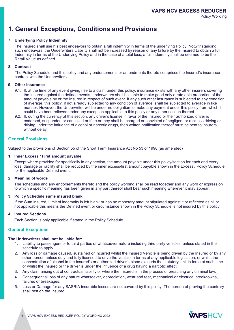# **1. General Exceptions, Conditions and Provisions**

#### **7. Underlying Policy Indemnity**

The Insured shall use his best endeavors to obtain a full indemnity in terms of the underlying Policy. Notwithstanding such endeavors, the Underwriters Liability shall not be increased by reason of any failure by the Insured to obtain a full Indemnity in terms of the Underlying Policy and in the case of a total loss; a full indemnity shall be deemed to be the Retail Value as defined.

#### **8. Contract**

The Policy Schedule and this policy and any endorsements or amendments thereto comprises the Insured's insurance contract with the Underwriters.

#### **9. Other Insurance**

- 9.1. If, at the time of any event giving rise to a claim under this policy, insurance exists with any other insurers covering the Insured against the defined events, underwriters shall be liable to make good only a rate able proportion of the amount payable by or the Insured in respect of such event. If any such other insurance is subjected to any condition of average, this policy, if not already subjected to any condition of average, shall be subjected to average in like manner. However, the Underwriter will be under no obligation to make any payment under this policy from which it could have been relieved under any exception applicable to this policy or any other section thereof.
- 9.2. If, during the currency of this section, any driver's license in favor of the Insured or their authorized driver is endorsed, suspended or cancelled or if he or they shall be charged or convicted of negligent or reckless driving or driving under the influence of alcohol or narcotic drugs, then written notification thereof must be sent to insurers without delay.

#### **General Provisions**

Subject to the provisions of Section 55 of the Short Term Insurance Act No 53 of 1998 (as amended)

#### **1. Inner Excess / First amount payable**

Except where provided for specifically in any section, the amount payable under this policy/section for each and every loss, damage or liability shall be reduced by the inner excess/first amount payable shown in the Excess / Policy Schedule for the applicable Defined event.

#### **2. Meaning of words**

The schedules and any endorsements thereto and the policy wording shall be read together and any word or expression to which a specific meaning has been given in any part thereof shall bear such meaning wherever it may appear.

#### **3. Policy Schedule sums insured blank**

If the Sum insured, Limit of indemnity is left blank or has no monetary amount stipulated against it or reflected as nil or not applicable this means the Defined event or circumstance shown in the Policy Schedule is not insured by this policy.

#### **4. Insured Sections**

Each Section is only applicable if stated in the Policy Schedule.

#### **General Exceptions**

#### **The Underwriters shall not be liable for:**

- 1. Liability to passengers or to third parties of whatsoever nature including third party vehicles, unless stated in the schedule to apply.
- 2. Any loss or damage caused, sustained or incurred whilst the Insured Vehicle is being driven by the Insured or by any other person unless duly and fully licensed to drive the vehicle in terms of any applicable legislation, or whilst the concentration of alcohol in the Insured's or authorized driver's blood exceeds the statutory limit in force at such time or whilst the Insured or the driver is under the influence of a drug having a narcotic effect.
- 3. Any claim arising out of contractual liability or where the Insured is in the process of breaching any criminal law.
- 4. Consequential loss of any nature whatsoever, depreciation, wear and tear, mechanical or electrical breakdowns, failures or breakages.
- 5. Loss or Damage for any SASRIA insurable losses are not covered by this policy. The burden of proving the contrary shall rest on the Insured.

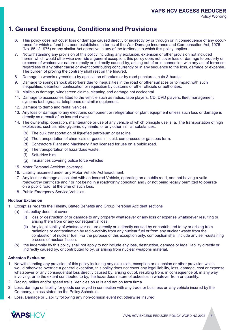Policy Wording

# **1. General Exceptions, Conditions and Provisions**

- 6. This policy does not cover loss or damage caused directly or indirectly by or through or in consequence of any occurrence for which a fund has been established in terms of the War Damage Insurance and Compensation Act, 1976 (No. 85 of 1976) or any similar Act operative in any of the territories to which this policy applies.
- 7. Notwithstanding any provision of this policy including any exclusion, extension or other provision not included herein which would otherwise override a general exception, this policy does not cover loss or damage to property or expense of whatsoever nature directly or indirectly caused by, arising out of or in connection with any act of terrorism regardless of any other cause or event contributing concurrently or in any sequence to the loss, damage or expense. The burden of proving the contrary shall rest on the Insured.
- 8. Damage to wheels (tyres/rims) by application of brakes or by road punctures, cuts & bursts.
- 9. Damage to springs/shock absorbers due to inequalities in the road or other surfaces or to impact with such inequalities; detention, confiscation or requisition by customs or other officials or authorities.
- 10. Malicious damage, windscreen claims, cleaning and damage not accidental.
- 11. Damage to accessories fitted to the vehicle such as radios, tape players, CD, DVD players, fleet management systems tachographs, telephones or similar equipment.
- 12. Damage to demo and rental vehicles.
- 13. Any loss or damage to any electronic component or refrigeration or plant equipment unless such loss or damage is directly as a result of an insured event.
- 14. The ownership, operation, maintenance or use of any vehicle of which principle use is: a. The transportation of high explosives, such as nitro-glycerin, dynamite, or any other similar substances.
	- (b) The bulk transportation of liquefied petroleum or gasoline.
	- (c) The transportation of chemicals or gases in liquid, compressed or gaseous form.
	- (d) Contractors Plant and Machinery if not licensed for use on a public road.
	- (e) The transportation of hazardous waste.
	- (f) Self-drive hire.
	- (g) Insurances covering police force vehicles
- 15. Motor Personal Accident coverage.
- 16. Liability assumed under any Motor Vehicle Act Enactment.
- 17. Any loss or damage associated with an Insured Vehicle, operating on a public road, and not having a valid roadworthy certificate and / or not being in a roadworthy condition and / or not being legally permitted to operate on a public road, at the time of such loss.
- 18. Public Emergency Service Vehicles.

#### **Nuclear Exclusion**

- 1. Except as regards the Fidelity, Stated Benefits and Group Personal Accident sections
	- (a) this policy does not cover:
		- loss or destruction of or damage to any property whatsoever or any loss or expense whatsoever resulting or arising there from or any consequential loss;
		- (ii) Any legal liability of whatsoever nature directly or indirectly caused by or contributed to by or arising from radiations or contamination by radio-activity from any nuclear fuel or from any nuclear waste from the combustion of nuclear fuel; For the purpose of this exception only, combustion shall include any self-sustaining process of nuclear fission.
	- (b) the indemnity by this policy shall not apply to nor include any loss, destruction, damage or legal liability directly or indirectly caused by, or contributed to by, or arising from nuclear weapons material.

#### **Asbestos Exclusion**

- 1. Notwithstanding any provision of this policy including any exclusion, exception or extension or other provision which would otherwise override a general exception, this policy does not cover any legal liability, loss, damage, cost or expense whatsoever or any consequential loss directly caused by, arising out of, resulting from, in consequence of, in any way involving, or to the extent contributed to by, the hazardous nature of asbestos in whatever from or quantity.
- 2. Racing, rallies and/or speed trails. Vehicles on rails and not on terra firma.
- 3. Loss, damage or liability for goods conveyed in connection with any trade or business on any vehicle insured by the Company, unless stated on the Policy Schedule.
- 4. Loss, Damage or Liability following any non-collision event not otherwise insured

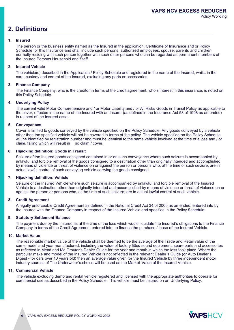### **2. Definitions**

#### **1. Insured**

The person or the business entity named as the Insured in the application, Certificate of Insurance and or Policy Schedule for this Insurance and shall include such persons, authorized employees, spouse, parents and children normally residing with such person together with such other persons who can be regarded as permanent members of the Insured Persons Household and Staff.

#### **2. Insured Vehicle**

The vehicle(s) described in the Application / Policy Schedule and registered in the name of the Insured, whilst in the care, custody and control of the Insured, excluding any parts or accessories.

#### **3. Finance Company**

The Finance Company, who is the creditor in terms of the credit agreement, who's interest in this insurance, is noted on this Policy Schedule.

#### **4. Underlying Policy**

The current valid Motor Comprehensive and / or Motor Liability and / or All Risks Goods in Transit Policy as applicable to the cover, effected in the name of the Insured with an Insurer (as defined in the Insurance Act 58 of 1998 as amended) in respect of the Insured asset.

#### **5. Conveyances**

Cover is limited to goods conveyed by the vehicle specified on the Policy Schedule. Any goods conveyed by a vehicle other than the specified vehicle will not be covered in terms of the policy. The vehicle specified on the Policy Schedule will be identified by registration number and must be identical to the same vehicle involved at the time of a loss and / or claim, failing which will result in no claim / cover.

#### **6. Hijacking definition: Goods in Transit**

Seizure of the Insured goods consigned contained in or on such conveyance where such seizure is accompanied by unlawful and forcible removal of the goods consigned to a destination other than originally intended and accomplished by means of violence or threat of violence on or against the person or persons who, at the time of such seizure, are in actual lawful control of such conveying vehicle carrying the goods consigned.

#### **7. Hijacking definition: Vehicle**

Seizure of the Insured Vehicle where such seizure is accompanied by unlawful and forcible removal of the Insured Vehicle to a destination other than originally intended and accomplished by means of violence or threat of violence on or against the person or persons who, at the time of such seizure, are in actual lawful control of such vehicle.

#### **8. Credit Agreement**

A legally enforceable Credit Agreement as defined in the National Credit Act 34 of 2005 as amended, entered into by the Insured with the Finance Company in respect of the Insured Vehicle and specified in the Policy Schedule.

#### **9. Statutory Settlement Balance**

The payment due by the Insured as at the time of the loss which would liquidate the Insured's obligations to the Finance Company in terms of the Credit Agreement entered into, to finance the purchase / lease of the Insured Vehicle.

#### **10. Market Value**

The reasonable market value of the vehicle shall be deemed to be the average of the Trade and Retail value of the same model and year manufactured, including the value of factory fitted sound equipment, spare parts and accessories as reflected in Mead and Mc Grouter's Dealer Guide for the year and month in which the loss took place. Where the particular make and model of the Insured Vehicle is not reflected in the relevant Dealer's Guide (or Auto Dealer's Digest - for cars over 10 years old) then an average value given for the Insured Vehicle by three independent motor industry sources of The Underwriter's choice will be used as the Market Value of the Insured Vehicle.

#### **11. Commercial Vehicle**

The vehicle excluding demo and rental vehicle registered and licensed with the appropriate authorities to operate for commercial use as described in the Policy Schedule. This vehicle must be insured on an Underlying Policy.

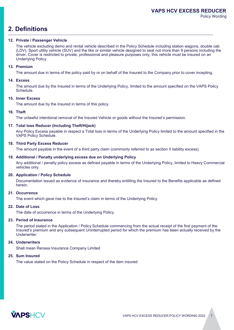### **VAPS HCV EXCESS REDUCER**

Policy Wording

### **2. Definitions**

#### **12. Private / Passenger Vehicle**

The vehicle excluding demo and rental vehicle described in the Policy Schedule including station wagons, double cab (LDV), Sport utility vehicle (SUV) and the like or similar vehicle designed to seat not more than 9 persons including the driver. Cover is restricted to private, professional and pleasure purposes only, this vehicle must be insured on an Underlying Policy.

#### **13. Premium**

The amount due in terms of the policy paid by or on behalf of the Insured to the Company prior to cover incepting.

#### **14. Excess**

The amount due by the Insured in terms of the Underlying Policy, limited to the amount specified on the VAPS Policy Schedule.

#### **15. Inner Excess**

The amount due by the Insured in terms of this policy.

#### **16. Theft**

The unlawful intentional removal of the Insured Vehicle or goods without the Insured's permission.

#### **17. Total loss Reducer (Including Theft/Hijack)**

Any Policy Excess payable in respect a Total loss in terms of the Underlying Policy limited to the amount specified in the VAPS Policy Schedule.

#### **18. Third Party Excess Reducer**

The amount payable in the event of a third party claim (commonly referred to as section II liability excess).

#### **19. Additional / Penalty underlying excess due on Underlying Policy**

Any additional / penalty policy excess as defined payable in terms of the Underlying Policy, limited to Heavy Commercial vehicles only.

#### **20. Application / Policy Schedule**

Documentation issued as evidence of insurance and thereby entitling the Insured to the Benefits applicable as defined herein.

#### **21. Occurrence**

The event which gave rise to the Insured's claim in terms of the Underlying Policy.

#### **22. Date of Loss**

The date of occurrence in terms of the Underlying Policy.

#### **23. Period of Insurance**

The period stated in the Application / Policy Schedule commencing from the actual receipt of the first payment of the Insured's premium and any subsequent Uninterrupted period for which the premium has been actually received by the Underwriter.

#### **24. Underwriters**

Shall mean Renasa Insurance Company Limited

#### **25. Sum Insured**

The value stated on the Policy Schedule in respect of the item insured

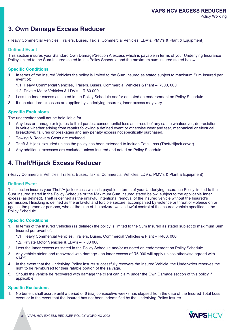### **3. Own Damage Excess Reducer**

(Heavy Commercial Vehicles, Trailers, Buses, Taxi's, Commercial Vehicles, LDV's, PMV's & Plant & Equipment)

#### **Defined Event**

This section insures your Standard Own Damage/Section A excess which is payable in terms of your Underlying Insurance Policy limited to the Sum Insured stated in this Policy Schedule and the maximum sum insured stated below

#### **Specific Conditions**

- 1. In terms of the Insured Vehicles the policy is limited to the Sum Insured as stated subject to maximum Sum Insured per event of;
	- 1.1. Heavy Commercial Vehicles, Trailers, Buses, Commercial Vehicles & Plant R300, 000
	- 1.2. Private Motor Vehicles & LDV's R 80 000
- 2. Less the Inner excess as stated in the Policy Schedule and/or as noted on endorsement on Policy Schedule.
- 3. If non-standard excesses are applied by Underlying Insurers, inner excess may vary

#### **Specific Exclusions**

The underwriter shall not be held liable for:

- 1. Any loss or damage or injuries to third parties; consequential loss as a result of any cause whatsoever, depreciation in value whether arising from repairs following a defined event or otherwise wear and tear, mechanical or electrical breakdown, failures or breakages and any penalty excess not specifically purchased.
- 2. Towing & Recovery Costs are excluded.
- 3. Theft & Hijack excluded unless the policy has been extended to include Total Loss (Theft/Hijack cover)
- 4. Any additional excesses are excluded unless Insured and noted on Policy Schedule.

### **4. Theft/Hijack Excess Reducer**

(Heavy Commercial Vehicles, Trailers, Buses, Taxi's, Commercial Vehicles, LDV's, PMV's & Plant & Equipment)

#### **Defined Event**

This section insures your Theft/Hijack excess which is payable in terms of your Underlying Insurance Policy limited to the Sum Insured stated in the Policy Schedule or the Maximum Sum Insured stated below, subject to the applicable Inner excess (as defined). Theft is defined as the unlawful intentional removal of the insured vehicle without the Insured's permission. Hijacking is defined as the unlawful and forcible seizure, accompanied by violence or threat of violence on or against the person or persons, who at the time of the seizure was in lawful control of the insured vehicle specified in the Policy Schedule.

#### **Specific Conditions**

- In terms of the Insured Vehicles (as defined) the policy is limited to the Sum Insured as stated subject to maximum Sum Insured per event of;
	- 1.1 Heavy Commercial Vehicles, Trailers, Buses, Commercial Vehicles & Plant R400, 000
	- 1.2. Private Motor Vehicles & LDV's R 80 000
- 2. Less the Inner excess as stated in the Policy Schedule and/or as noted on endorsement on Policy Schedule.
- 3. Any vehicle stolen and recovered with damage an inner excess of R5 000 will apply unless otherwise agreed with VAPS.
- 4. In the event that the Underlying Policy Insurer successfully recovers the Insured Vehicle, the Underwriter reserves the right to be reimbursed for their ratable portion of the salvage.
- 5. Should the vehicle be recovered with damage the client can claim under the Own Damage section of this policy if applicable.

#### **Specific Exclusions**

1. No benefit shall accrue until a period of 6 (six) consecutive weeks has elapsed from the date of the Insured Total Loss event or in the event that the Insured has not been indemnified by the Underlying Policy Insurer.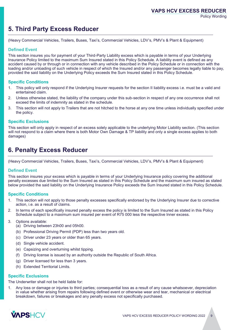### **5. Third Party Excess Reducer**

(Heavy Commercial Vehicles, Trailers, Buses, Taxi's, Commercial Vehicles, LDV's, PMV's & Plant & Equipment)

#### **Defined Event**

This section insures you for payment of your Third-Party Liability excess which is payable in terms of your Underlying Insurance Policy limited to the maximum Sum Insured stated in this Policy Schedule. A liability event is defined as any accident caused by or through or in connection with any vehicle described in the Policy Schedule or in connection with the loading and/or unloading of such vehicle in respect of which the Insured and/or any passenger becomes legally liable to pay, provided the said liability on the Underlying Policy exceeds the Sum Insured stated in this Policy Schedule.

#### **Specific Conditions**

- 1. This policy will only respond if the Underlying Insurer requests for the section II liability excess i.e. must be a valid and entertained claim.
- 2. Unless otherwise stated, the liability of the company under this sub-section in respect of any one occurrence shall not exceed the limits of indemnity as stated in the schedule.
- 3. This section will not apply to Trailers that are not hitched to the horse at any one time unless individually specified under the policy.

#### **Specific Exclusions**

This section will only apply in respect of an excess solely applicable to the underlying Motor Liability section. (This section will not respond to a claim where there is both Motor Own Damage & TP liability and only a single excess applies to both damages)

### **6. Penalty Excess Reducer**

(Heavy Commercial Vehicles, Trailers, Buses, Taxi's, Commercial Vehicles, LDV's, PMV's & Plant & Equipment)

#### **Defined Event**

This section insures your excess which is payable in terms of your Underlying Insurance policy covering the additional penalty excesses due limited to the Sum Insured as stated in this Policy Schedule and the maximum sum insured as stated below provided the said liability on the Underlying Insurance Policy exceeds the Sum Insured stated in this Policy Schedule.

#### **Specific Conditions**

- 1. This section will not apply to those penalty excesses specifically endorsed by the Underlying Insurer due to corrective action, i.e. as a result of claims.
- 2. In terms of each specifically insured penalty excess the policy is limited to the Sum Insured as stated in this Policy Schedule subject to a maximum sum insured per event of R75 000 less the respective Inner excess.
- 3. Options available:
	- (a) Driving between 23h00 and 05h00.
	- (b) Professional Driving Permit (PDP) less than two years old.
	- (c) Driver under 23 years or older than 65 years.
	- (d) Single vehicle accident.
	- (e) Capsizing and overturning whilst tipping.
	- (f) Driving license is issued by an authority outside the Republic of South Africa.
	- (g) Driver licensed for less than 3 years.
	- (h) Extended Territorial Limits.

#### **Specific Exclusions**

The Underwriter shall not be held liable for:

1. Any loss or damage or injuries to third parties; consequential loss as a result of any cause whatsoever, depreciation in value whether arising from repairs following defined event or otherwise wear and tear, mechanical or electrical breakdown, failures or breakages and any penalty excess not specifically purchased.

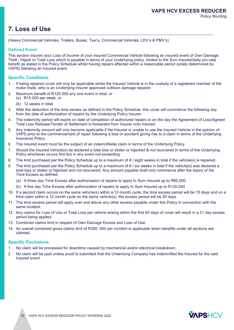# **7. Loss of Use**

(Heavy Commercial Vehicles, Trailers, Buses, Taxi's, Commercial Vehicles, LDV's & PMV's)

#### **Defined Event**

This section insures your Loss of Income of your insured Commercial Vehicle following an insured event of Own Damage, Theft / Hijack or Total Loss which is payable in terms of your Underlying policy, limited to the Sum Insured/daily pro-rata benefit as stated in the Policy Schedule whilst having repairs effected within a reasonable period (solely determined by VAPS) following an Insured event.

#### **Specific Conditions**

- 1. If being repaired cover will only be applicable whilst the Insured Vehicle is in the custody of a registered member of the motor trade, who is an Underlying Insurer approved collision damage repairer.
- 2. Maximum benefit of R120 000 any one event in total, or
	- (a) R15 000 per week, or
		- (b) 12 weeks in total
- 3. After the deduction of the time excess as defined in the Policy Schedule, this cover will commence the following day from the date of authorization of repairs by the Underlying Policy Insurer.
- 4. The indemnity period will expire on date of completion of authorized repairs or on the day the Agreement of Loss/Agreed Total Loss Release/Tender of Settlement is forwarded from Insurer onto Insured.
- 5. Any indemnity amount will only become applicable if the Insured is unable to use the Insured Vehicle in the opinion of VAPS prior to the commencement of repair following a loss or accident giving rise to a claim in terms of the Underlying Insurance Policy.
- 6. The Insured event must be the subject of an indemnifiable claim in terms of the Underlying Policy.
- 7. Should the Insured Vehicle(s) be declared a total loss or stolen or hijacked & not recovered in terms of the Underlying Policy whichever occurs first but in any event not exceeding:
- 8. The limit purchased per the Policy Schedule up to a maximum of 8 / eight weeks in total if the vehicle(s) is repaired,
- 9. The limit purchased per the Policy Schedule up to a maximum of 6 / six weeks in total if the vehicle(s) was declared a total loss or stolen or hijacked and not recovered. Any amount payable shall only commence after the expiry of the Time Excess as defined.
	- (a) A three day Time Excess after authorization of repairs to apply to Sum Insured up to R60,000
	- (b) A five day Time Excess after authorization of repairs to apply to Sum Insured up to R120,000
- 10. If a second claim occurs on the same vehicle(s) within a 12-month cycle, the time excess period will be 15 days and on a third claim within a 12 month cycle on the same vehicle(s), the excess period will be 20 days.
- 11. The time excess period will apply over and above any other excess payable under this Policy in connection with the same incident.
- 12. Any claims for Loss of Use or Total Loss per vehicle arising within the first 60 days of cover will result in a 21 day excess period being applied.
- 13. Combined claims limit in respect of Own Damage Excess and Loss of Use:
- 14. An overall combined gross claims limit of R350, 000 per incident is applicable when benefits under all sections are claimed.

#### **Specific Exclusions**

- 1. No claim will be processed for downtime caused by mechanical and/or electrical breakdown.
- 2. No claim will be paid unless proof is submitted that the Underlying Company has indemnified the Insured for the said Insured event.

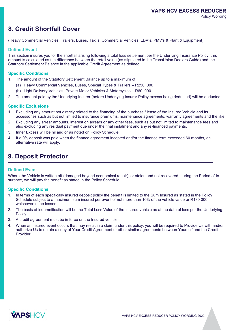## **8. Credit Shortfall Cover**

(Heavy Commercial Vehicles, Trailers, Buses, Taxi's, Commercial Vehicles, LDV's, PMV's & Plant & Equipment)

#### **Defined Event**

This section insures you for the shortfall arising following a total loss settlement per the Underlying Insurance Policy; this amount is calculated as the difference between the retail value (as stipulated in the TransUnion Dealers Guide) and the Statutory Settlement Balance in the applicable Credit Agreement as defined.

#### **Specific Conditions**

- 1. The amount of the Statutory Settlement Balance up to a maximum of:
	- (a) Heavy Commercial Vehicles, Buses, Special Types & Trailers R250, 000
	- (b) Light Delivery Vehicles, Private Motor Vehicles & Motorcycles R60, 000
- 2. The amount paid by the Underlying Insurer (before Underlying Insurer Policy excess being deducted) will be deducted.

#### **Specific Exclusions**

- Excluding any amount not directly related to the financing of the purchase / lease of the Insured Vehicle and its accessories such as but not limited to insurance premiums, maintenance agreements, warranty agreements and the like.
- 2. Excluding any arrear amounts, interest on arrears or any other fees, such as but not limited to maintenance fees and also excluding any residual payment due under the final instalment and any re-financed payments.
- 3. Inner Excess will be nil and or as noted on Policy Schedule.
- 4. If a 0% deposit was paid when the finance agreement incepted and/or the finance term exceeded 60 months, an alternative rate will apply.

### **9. Deposit Protector**

#### **Defined Event**

Where the Vehicle is written off (damaged beyond economical repair), or stolen and not recovered, during the Period of Insurance, we will pay the benefit as stated in the Policy Schedule.

#### **Specific Conditions**

- 1. In terms of each specifically insured deposit policy the benefit is limited to the Sum Insured as stated in the Policy Schedule subject to a maximum sum insured per event of not more than 10% of the vehicle value or R180 000 whichever is the lesser.
- 2. The basis of indemnification will be the Total Loss Value of the Insured vehicle as at the date of loss per the Underlying Policy.
- 3. A credit agreement must be in force on the Insured vehicle.
- 4. When an insured event occurs that may result in a claim under this policy, you will be required to Provide Us with and/or authorize Us to obtain a copy of Your Credit Agreement or other similar agreements between Yourself and the Credit **Provider**

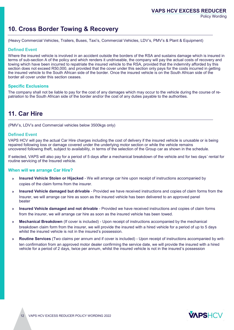### **10. Cross Border Towing & Recovery**

(Heavy Commercial Vehicles, Trailers, Buses, Taxi's, Commercial Vehicles, LDV's, PMV's & Plant & Equipment)

#### **Defined Event**

Where the insured vehicle is involved in an accident outside the borders of the RSA and sustains damage which is insured in terms of sub-section A of the policy and which renders it undriveable, the company will pay the actual costs of recovery and towing which have been incurred to repatriate the insured vehicle to the RSA, provided that the indemnity afforded by this section does not exceed R50,000, and provided that the cover under this section only pays for the costs incurred in getting the insured vehicle to the South African side of the border. Once the insured vehicle is on the South African side of the border all cover under this section ceases.

#### **Specific Exclusions**

The company shall not be liable to pay for the cost of any damages which may occur to the vehicle during the course of repatriation to the South African side of the border and/or the cost of any duties payable to the authorities.

### **11. Car Hire**

(PMV's, LDV's and Commercial vehicles below 3500kgs only)

#### **Defined Event**

VAPS HCV will pay the actual Car Hire charges including the cost of delivery if the insured vehicle is unusable or is being repaired following loss or damage covered under the underlying motor section or while the vehicle remains uncovered following theft, subject to availability, in terms of the selection of the Group car as shown in the schedule.

If selected, VAPS will also pay for a period of 5 days after a mechanical breakdown of the vehicle and for two days' rental for routine servicing of the Insured vehicle.

#### **When will we arrange Car Hire?**

- b **Insured Vehicle Stolen or Hijacked** - We will arrange car hire upon receipt of instructions accompanied by copies of the claim forms from the insurer.
- $\overline{a}$ **Insured Vehicle damaged but drivable** - Provided we have received instructions and copies of claim forms from the Insurer, we will arrange car hire as soon as the insured vehicle has been delivered to an approved panel beater
- $\blacktriangleright$ **Insured Vehicle damaged and not drivable** - Provided we have received instructions and copies of claim forms from the insurer, we will arrange car hire as soon as the insured vehicle has been towed.
- **Mechanical Breakdown** (If cover is included) Upon receipt of instructions accompanied by the mechanical breakdown claim form from the insurer, we will provide the insured with a hired vehicle for a period of up to 5 days whilst the insured vehicle is not in the insured's possession.
- **Routine Services** (Two claims per annum and if cover is included) Upon receipt of instructions accompanied by written confirmation from an approved motor dealer confirming the service date, we will provide the insured with a hired vehicle for a period of 2 days, twice per annum, whilst the insured vehicle is not in the insured's possession

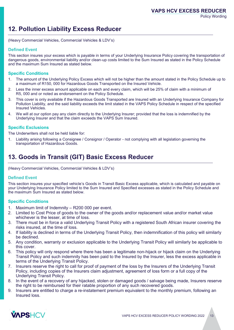# **12. Pollution Liability Excess Reducer**

(Heavy Commercial Vehicles, Commercial Vehicles & LDV's)

### **Defined Event**

This section insures your excess which is payable in terms of your Underlying Insurance Policy covering the transportation of dangerous goods, environmental liability and/or clean-up costs limited to the Sum Insured as stated in the Policy Schedule and the maximum Sum Insured as stated below.

#### **Specific Conditions**

- 1. The amount of the Underlying Policy Excess which will not be higher than the amount stated in the Policy Schedule up to a maximum of R150, 000 for Hazardous Goods Transported on the Insured Vehicle.
- 2. Less the inner excess amount applicable on each and every claim, which will be 25% of claim with a minimum of R5, 000 and or noted as endorsement on the Policy Schedule.
- 3. This cover is only available if the Hazardous Goods Transported are Insured with an Underlying Insurance Company for Pollution Liability, and the said liability exceeds the limit stated in the VAPS Policy Schedule in respect of the specified Insured Vehicles.
- 4. We will at our option pay any claim directly to the Underlying Insurer; provided that the loss is indemnified by the Underlying Insurer and that the claim exceeds the VAPS Sum Insured.

#### **Specific Exclusions**

The Underwriters shall not be held liable for:

1. Liability arising following a Consignee / Consignor / Operator - not complying with all legislation governing the transportation of Hazardous Goods.

### **13. Goods in Transit (GIT) Basic Excess Reducer**

(Heavy Commercial Vehicles, Commercial Vehicles & LDV's)

#### **Defined Event**

This section insures your specified vehicle's Goods in Transit Basic Excess applicable, which is calculated and payable on your Underlying Insurance Policy limited to the Sum Insured and Specified excesses as stated in the Policy Schedule and the maximum Sum Insured as stated below.

#### **Specific Conditions**

- 1. Maximum limit of Indemnity R200 000 per event.
- 2. Limited to Cost Price of goods to the owner of the goods and/or replacement value and/or market value whichever is the lesser, at time of loss.
- 3. There must be in force a valid Underlying Transit Policy with a registered South African insurer covering the risks insured, at the time of loss.
- 4. If liability is declined in terms of the Underlying Transit Policy, then indemnification of this policy will similarly be declined.
- 5. Any condition, warranty or exclusion applicable to the Underlying Transit Policy will similarly be applicable to this cover.
- 6. This policy will only respond where there has been a legitimate non-hijack or hijack claim on the Underlying Transit Policy and such indemnity has been paid to the Insured by the Insurer, less the excess applicable in terms of the Underlying Transit Policy.
- 7. Insurers reserve the right to call for proof of payment of the loss by the Insurers of the Underlying Transit Policy, including copies of the Insurers claim adjustment, agreement of loss form or a full copy of the Underlying Transit Policy.
- 8. In the event of a recovery of any hijacked, stolen or damaged goods / salvage being made, Insurers reserve the right to be reimbursed for their ratable proportion of any such recovered goods.
- 9. Insurers are entitled to charge a re-instatement premium equivalent to the monthly premium, following an Insured loss.

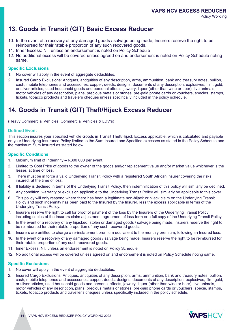# **13. Goods in Transit (GIT) Basic Excess Reducer**

- 10. In the event of a recovery of any damaged goods / salvage being made, Insurers reserve the right to be reimbursed for their ratable proportion of any such recovered goods.
- 11. Inner Excess: Nil, unless an endorsement is noted on Policy Schedule
- 12. No additional excess will be covered unless agreed on and endorsement is noted on Policy Schedule noting same.

### **Specific Exclusions**

- 1. No cover will apply in the event of aggregate deductibles.
- 2. Insured Cargo Exclusions: Antiques, antiquities of any description, arms, ammunition, bank and treasury notes, bullion, cash, mobile telephones and accessories, copper, deeds, designs, documents of any description, explosives, film, gold, or silver articles, used household goods and personal effects, jewelry, liquor (other than wine or beer), live animals, motor vehicles of any description, plans, precious metals or stones, pre-paid phone cards or vouchers, species, stamps, tickets, tobacco products and travelers cheques unless specifically included in the policy schedule.

# **14. Goods in Transit (GIT) Theft/Hijack Excess Reducer**

(Heavy Commercial Vehicles, Commercial Vehicles & LDV's)

### **Defined Event**

This section insures your specified vehicle Goods in Transit Theft/Hijack Excess applicable, which is calculated and payable on your Underlying Insurance Policy limited to the Sum Insured and Specified excesses as stated in the Policy Schedule and the maximum Sum Insured as stated below.

#### **Specific Conditions**

- 1. Maximum limit of Indemnity R300 000 per event.
- 2. Limited to Cost Price of goods to the owner of the goods and/or replacement value and/or market value whichever is the lesser, at time of loss.
- 3. There must be in force a valid Underlying Transit Policy with a registered South African insurer covering the risks insured, at the time of loss.
- 4. If liability is declined in terms of the Underlying Transit Policy, then indemnification of this policy will similarly be declined.
- 5. Any condition, warranty or exclusion applicable to the Underlying Transit Policy will similarly be applicable to this cover.
- 6. This policy will only respond where there has been a legitimate non-hijack or hijack claim on the Underlying Transit Policy and such indemnity has been paid to the Insured by the Insurer, less the excess applicable in terms of the Underlying Transit Policy.
- 7. Insurers reserve the right to call for proof of payment of the loss by the Insurers of the Underlying Transit Policy, including copies of the Insurers claim adjustment, agreement of loss form or a full copy of the Underlying Transit Policy.
- 8. In the event of a recovery of any hijacked, stolen or damaged goods / salvage being made, Insurers reserve the right to be reimbursed for their ratable proportion of any such recovered goods.
- 9. Insurers are entitled to charge a re-instatement premium equivalent to the monthly premium, following an Insured loss.
- 10. In the event of a recovery of any damaged goods / salvage being made, Insurers reserve the right to be reimbursed for their ratable proportion of any such recovered goods.
- 11. Inner Excess: Nil, unless an endorsement is noted on Policy Schedule
- 12. No additional excess will be covered unless agreed on and endorsement is noted on Policy Schedule noting same.

### **Specific Exclusions**

- 1. No cover will apply in the event of aggregate deductibles.
- 2. Insured Cargo Exclusions: Antiques, antiquities of any description, arms, ammunition, bank and treasury notes, bullion, cash, mobile telephones and accessories, copper, deeds, designs, documents of any description, explosives, film, gold, or silver articles, used household goods and personal effects, jewelry, liquor (other than wine or beer), live animals, motor vehicles of any description, plans, precious metals or stones, pre-paid phone cards or vouchers, specie, stamps, tickets, tobacco products and traveller's cheques unless specifically included in the policy schedule.

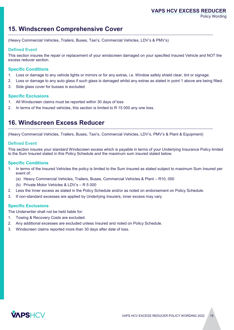### **15. Windscreen Comprehensive Cover**

(Heavy Commercial Vehicles, Trailers, Buses, Taxi's, Commercial Vehicles, LDV's & PMV's)

#### **Defined Event**

This section insures the repair or replacement of your windscreen damaged on your specified Insured Vehicle and NOT the excess reducer section.

#### **Specific Conditions**

- 1. Loss or damage to any vehicle lights or mirrors or for any extras, i.e. Window safety shield clear, tint or signage.
- 2. Loss or damage to any auto glass if such glass is damaged whilst any extras as stated in point 1 above are being fitted.
- 3. Side glass cover for busses is excluded.

#### **Specific Exclusions**

- 1. All Windscreen claims must be reported within 30 days of loss
- 2. In terms of the Insured vehicles, this section is limited to R 15 000 any one loss.

### **16. Windscreen Excess Reducer**

(Heavy Commercial Vehicles, Trailers, Buses, Taxi's, Commercial Vehicles, LDV's, PMV's & Plant & Equipment)

#### **Defined Event**

This section insures your standard Windscreen excess which is payable in terms of your Underlying Insurance Policy limited to the Sum Insured stated in this Policy Schedule and the maximum sum insured stated below.

#### **Specific Conditions**

- 1. In terms of the Insured Vehicles the policy is limited to the Sum Insured as stated subject to maximum Sum Insured per event of;
	- (a) Heavy Commercial Vehicles, Trailers, Buses, Commercial Vehicles & Plant R10, 000
	- (b) Private Motor Vehicles & LDV's R 5 000
- 2. Less the Inner excess as stated in the Policy Schedule and/or as noted on endorsement on Policy Schedule.
- 3. If non-standard excesses are applied by Underlying Insurers, inner excess may vary

#### **Specific Exclusions**

The Underwriter shall not be held liable for:

- 1. Towing & Recovery Costs are excluded.
- 2. Any additional excesses are excluded unless Insured and noted on Policy Schedule.
- 3. Windscreen claims reported more than 30 days after date of loss.

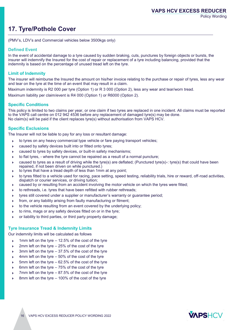# **17. Tyre/Pothole Cover**

(PMV's, LDV's and Commercial vehicles below 3500kgs only)

#### **Defined Event**

In the event of accidental damage to a tyre caused by sudden braking, cuts, punctures by foreign objects or bursts, the insurer will indemnify the Insured for the cost of repair or replacement of a tyre including balancing, provided that the indemnity is based on the percentage of unused tread left on the tyre.

#### **Limit of Indemnity**

The insurer will reimburse the Insured the amount on his/her invoice relating to the purchase or repair of tyres, less any wear and tear on the tyre at the time of an event that may result in a claim.

Maximum indemnity is R2 000 per tyre (Option 1) or R 3 000 (Option 2), less any wear and tear/worn tread.

Maximum liability per claim/event is R4 000 (Option 1) or R6000 (Option 2).

#### **Specific Conditions**

This policy is limited to two claims per year, or one claim if two tyres are replaced in one incident. All claims must be reported to the VAPS call centre on 012 942 4536 before any replacement of damaged tyre(s) may be done. No claim(s) will be paid if the client replaces tyre(s) without authorisation from VAPS HCV.

#### **Specific Exclusions**

The Insurer will not be liable to pay for any loss or resultant damage:

- $\blacktriangleright$ to tyres on any heavy commercial type vehicle or fare paying transport vehicles;
- caused by safety devices built into or fitted onto tyres;
- caused to tyres by safety devices, or built-in safety mechanisms;
- $\blacktriangleright$ to flat tyres, - where the tyre cannot be repaired as a result of a normal puncture;
- caused to tyres as a result of driving while the tyre(s) are deflated; (Punctured tyre(s)-: tyre(s) that could have been repaired, if not been driven on while punctured.)
- $\blacktriangleright$ to tyres that have a tread depth of less than 1mm at any point;
- $\blacktriangleright$ to tyres fitted to a vehicle used for racing, pace setting, speed testing, reliability trials, hire or reward, off-road activities, dispatch or courier services, or driving tuition;
- caused by or resulting from an accident involving the motor vehicle on which the tyres were fitted;
- $\blacktriangleright$ to rethreads, i.e. tyres that have been refitted with rubber rethreads;
- $\blacktriangleright$ tyres still covered under a supplier or manufacturer's warranty or guarantee period;
- $\blacktriangleright$ from, or any liability arising from faulty manufacturing or fitment;
- $\blacktriangleright$ to the vehicle resulting from an event covered by the underlying policy;
- $\blacktriangleright$ to rims, mags or any safety devices fitted on or in the tyre;
- or liability to third parties, or third party property damage;

#### **Tyre Insurance Tread & Indemnity Limits**

Our indemnity limits will be calculated as follows

- 1mm left on the tyre 12.5% of the cost of the tyre
- 2mm left on the tyre 25% of the cost of the tyre
- 3mm left on the tyre 37.5% of the cost of the tyre
- 4mm left on the tyre 50% of the cost of the tyre
- 5mm left on the tyre 62.5% of the cost of the tyre
- 6mm left on the tyre 75% of the cost of the tyre
- 7mm left on the tyre 87.5% of the cost of the tyre
- 8mm left on the tyre 100% of the cost of the tyre

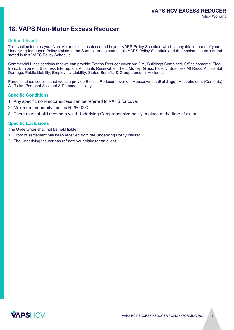### **VAPS HCV EXCESS REDUCER**

Policy Wording

## **18. VAPS Non-Motor Excess Reducer**

#### **Defined Event**

This section insures your Non-Motor excess as described in your VAPS Policy Schedule which is payable in terms of your Underlying Insurance Policy limited to the Sum Insured stated in this VAPS Policy Schedule and the maximum sum insured stated in this VAPS Policy Schedule.

Commercial Lines sections that we can provide Excess Reducer cover on: Fire, Buildings Combined, Office contents, Electronic Equipment, Business Interruption, Accounts Receivable, Theft, Money, Glass, Fidelity, Business All Risks, Accidental Damage, Public Liability, Employers' Liability, Stated Benefits & Group personal Accident.

Personal Lines sections that we can provide Excess Reducer cover on: Houseowners (Buildings), Householders (Contents), All Risks, Personal Accident & Personal Liability

#### **Specific Conditions**

- 1. Any specific non-motor excess can be referred to VAPS for cover.
- 2. Maximum Indemnity Limit is R 250 000.
- 3. There must at all times be a valid Underlying Comprehensive policy in place at the time of claim.

#### **Specific Exclusions**

The Underwriter shall not be held liable if:

- 1. Proof of settlement has been received from the Underlying Policy Insurer.
- 2. The Underlying Insurer has refused your claim for an event.